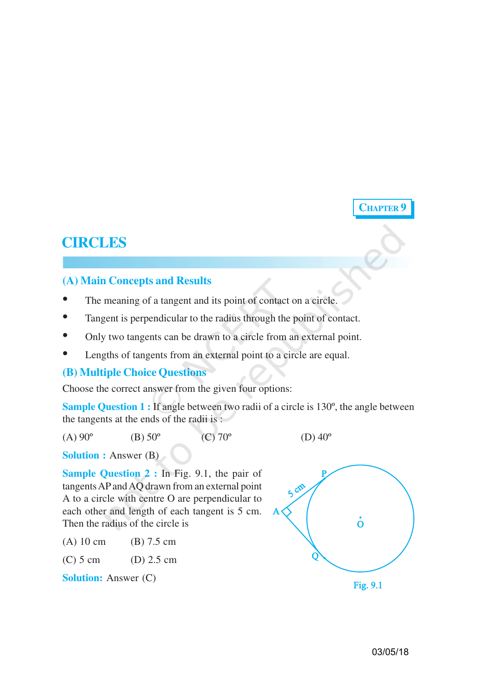# **CHAPTER 9**

# **CIRCLES**

## **(A) Main Concepts and Results**

- The meaning of a tangent and its point of contact on a circle.
- Tangent is perpendicular to the radius through the point of contact.
- Only two tangents can be drawn to a circle from an external point.
- Lengths of tangents from an external point to a circle are equal.

### **(B) Multiple Choice Questions**

Choose the correct answer from the given four options:

**Sample Question 1 :** If angle between two radii of a circle is 130<sup>°</sup>, the angle between the tangents at the ends of the radii is :

(A)  $90^{\circ}$  (B)  $50^{\circ}$  (C)  $70^{\circ}$  (D)  $40^{\circ}$ 

**Solution :** Answer (B)

**Sample Question 2 :** In Fig. 9.1, the pair of tangents AP and AQ drawn from an external point A to a circle with centre O are perpendicular to each other and length of each tangent is 5 cm. Then the radius of the circle is

| $(A)$ 10 cm | $(B)$ 7.5 cm |
|-------------|--------------|
|-------------|--------------|

(C) 5 cm (D) 2.5 cm

**Solution:** Answer (C)

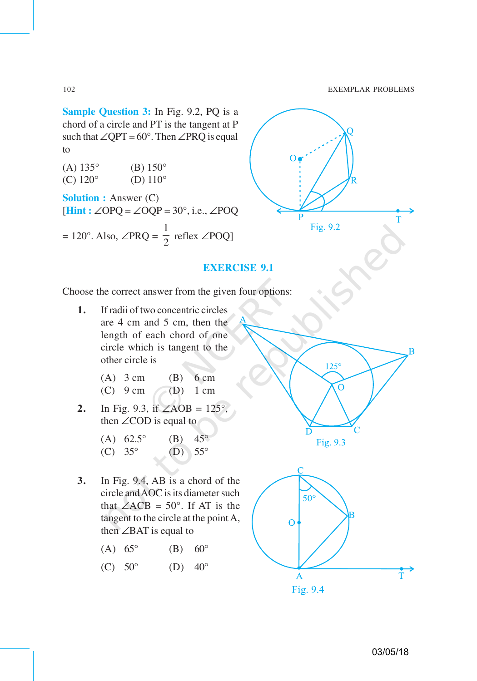**Sample Question 3:** In Fig. 9.2, PQ is a chord of a circle and PT is the tangent at P such that  $\angle$ QPT = 60°. Then  $\angle$ PRQ is equal to

| $(A)$ 135 $^{\circ}$         | $(B) 150^\circ$                                                 |
|------------------------------|-----------------------------------------------------------------|
| $(C)$ 120 $\circ$            | (D) $110^\circ$                                                 |
| <b>Solution :</b> Answer (C) | $[Hint : \angle OPQ = \angle OQP = 30^\circ, i.e., \angle POQ$  |
|                              | = 120°. Also, $\angle$ PRQ = $\frac{1}{2}$ reflex $\angle$ POQ] |



### **EXERCISE 9.1**

Choose the correct answer from the given four options:

**1.** If radii of two concentric circles are 4 cm and 5 cm, then the length of each chord of one circle which is tangent to the other circle is

(A) 3 cm (B) 6 cm (C) 9 cm (D) 1 cm

**2.** In Fig. 9.3, if ∠AOB = 125°, then ∠COD is equal to

|                  | (A) $62.5^{\circ}$ |           | (B) $45^{\circ}$ |
|------------------|--------------------|-----------|------------------|
| (C) $35^{\circ}$ |                    | $(D)$ 55° |                  |

- **3.** In Fig. 9.4, AB is a chord of the circle and AOC is its diameter such that  $\angle ACB = 50^\circ$ . If AT is the tangent to the circle at the point A, then ∠BAT is equal to
	- (A)  $65^{\circ}$  (B)  $60^{\circ}$
	- (C)  $50^{\circ}$  (D)  $40^{\circ}$



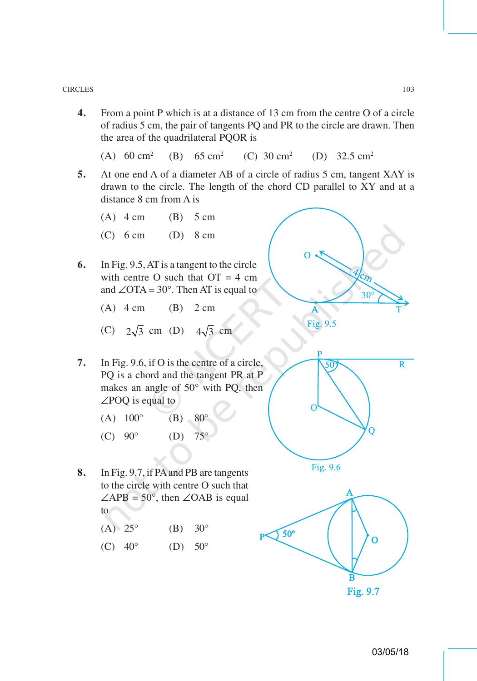**4.** From a point P which is at a distance of 13 cm from the centre O of a circle of radius 5 cm, the pair of tangents PQ and PR to the circle are drawn. Then the area of the quadrilateral PQOR is

(A)  $60 \text{ cm}^2$  (B)  $65 \text{ cm}^2$ (C)  $30 \text{ cm}^2$  (D)  $32.5 \text{ cm}^2$ 

- **5.** At one end A of a diameter AB of a circle of radius 5 cm, tangent XAY is drawn to the circle. The length of the chord CD parallel to XY and at a distance 8 cm from A is
	- (A)  $4 \text{ cm}$  (B)  $5 \text{ cm}$
	- (C) 6 cm (D) 8 cm
- **6.** In Fig. 9.5, AT is a tangent to the circle with centre O such that  $OT = 4$  cm and ∠OTA =  $30^\circ$ . Then AT is equal to
	- (A)  $4 \text{ cm}$  (B)  $2 \text{ cm}$
	- (C)  $2\sqrt{3}$  cm (D)  $4\sqrt{3}$  cm
- **7.** In Fig. 9.6, if O is the centre of a circle, PQ is a chord and the tangent PR at P makes an angle of 50° with PQ, then ∠POQ is equal to
	- (A)  $100^{\circ}$  (B)  $80^{\circ}$
	- (C)  $90^{\circ}$  (D)  $75^{\circ}$
- **8.** In Fig. 9.7, if PA and PB are tangents to the circle with centre O such that  $\angle$ APB = 50°, then  $\angle$ OAB is equal to
	- $(A) 25^{\circ}$  (B)  $30^{\circ}$
	- (C)  $40^{\circ}$  (D)  $50^{\circ}$



Fig. 9.7

Ŕ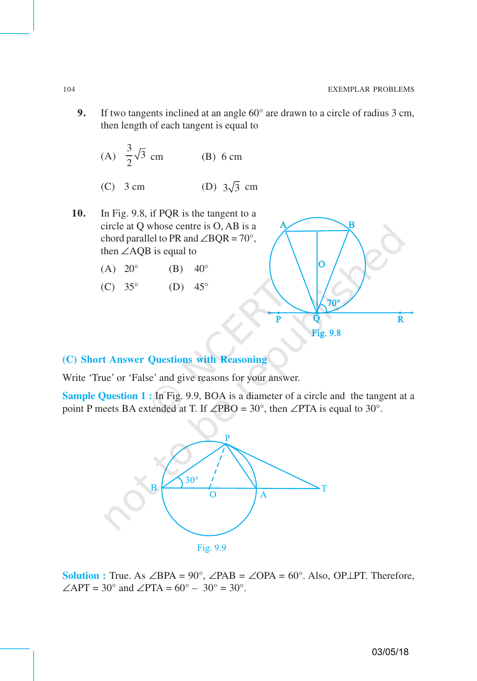**9.** If two tangents inclined at an angle 60° are drawn to a circle of radius 3 cm, then length of each tangent is equal to

(A) 
$$
\frac{3}{2}\sqrt{3}
$$
 cm (B) 6 cm

(C) 3 cm (D) 
$$
3\sqrt{3}
$$
 cm

- **10.** In Fig. 9.8, if PQR is the tangent to a circle at Q whose centre is O, AB is a chord parallel to PR and  $\angle BQR = 70^\circ$ , then ∠AQB is equal to
	- (A)  $20^{\circ}$  (B)  $40^{\circ}$
	- (C)  $35^{\circ}$  (D)  $45^{\circ}$



### **(C) Short Answer Questions with Reasoning**

Write 'True' or 'False' and give reasons for your answer.

**Sample Question 1 :** In Fig. 9.9, BOA is a diameter of a circle and the tangent at a point P meets BA extended at T. If ∠PBO = 30°, then ∠PTA is equal to 30°.



**Solution :** True. As  $\angle$ BPA = 90°,  $\angle$ PAB =  $\angle$ OPA = 60°. Also, OP⊥PT. Therefore,  $\angle$ APT = 30° and  $\angle$ PTA = 60° – 30° = 30°.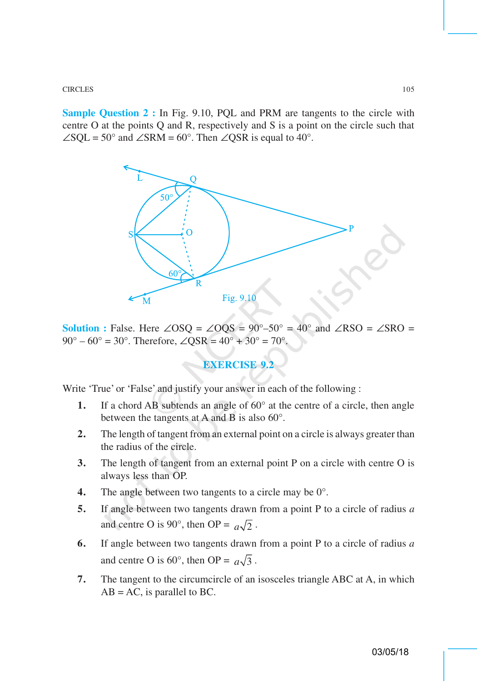CIRCLES 105

**Sample Question 2 :** In Fig. 9.10, PQL and PRM are tangents to the circle with centre O at the points Q and R, respectively and S is a point on the circle such that  $\angle$ SQL = 50° and  $\angle$ SRM = 60°. Then  $\angle$ QSR is equal to 40°.



**Solution :** False. Here ∠OSQ = ∠OQS =  $90^{\circ} - 50^{\circ}$  =  $40^{\circ}$  and ∠RSO = ∠SRO =  $90^{\circ} - 60^{\circ} = 30^{\circ}$ . Therefore,  $\angle$ OSR =  $40^{\circ} + 30^{\circ} = 70^{\circ}$ .

# **EXERCISE 9.2**

Write 'True' or 'False' and justify your answer in each of the following :

- **1.** If a chord AB subtends an angle of 60° at the centre of a circle, then angle between the tangents at A and B is also 60°.
- **2.** The length of tangent from an external point on a circle is always greater than the radius of the circle.
- **3.** The length of tangent from an external point P on a circle with centre O is always less than OP.
- **4.** The angle between two tangents to a circle may be 0°.
- **5.** If angle between two tangents drawn from a point P to a circle of radius *a* and centre O is 90°, then OP =  $a\sqrt{2}$ .
- **6.** If angle between two tangents drawn from a point P to a circle of radius *a* and centre O is 60°, then OP =  $a\sqrt{3}$ .
- **7.** The tangent to the circumcircle of an isosceles triangle ABC at A, in which  $AB = AC$ , is parallel to BC.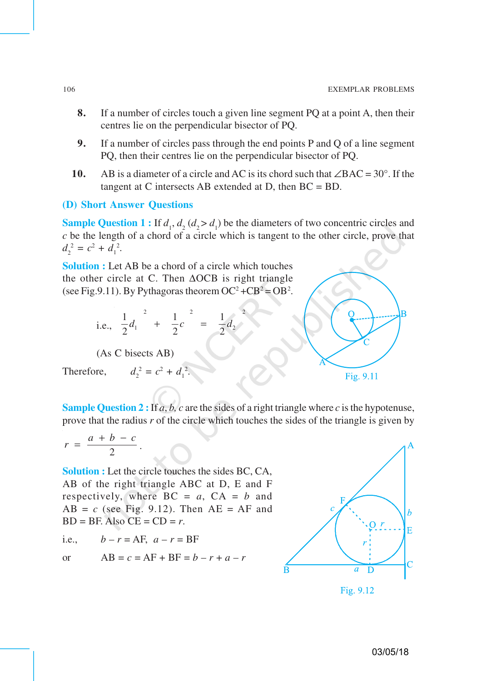- **8.** If a number of circles touch a given line segment PQ at a point A, then their centres lie on the perpendicular bisector of PQ.
- **9.** If a number of circles pass through the end points P and Q of a line segment PQ, then their centres lie on the perpendicular bisector of PQ.
- **10.** AB is a diameter of a circle and AC is its chord such that ∠BAC = 30°. If the tangent at C intersects AB extended at D, then  $BC = BD$ .

### **(D) Short Answer Questions**

**Sample Question 1 :** If  $d_1$ ,  $d_2$  ( $d_2 > d_1$ ) be the diameters of two concentric circles and *c* be the length of a chord of a circle which is tangent to the other circle, prove that  $d_2^2 = c^2 + d_1^2$ .

**Solution :** Let AB be a chord of a circle which touches the other circle at C. Then ∆OCB is right triangle (see Fig. 9.11). By Pythagoras theorem  $OC^2 + CB^2 = OB^2$ .

i.e., 
$$
\frac{1}{2}d_1^2 + \frac{1}{2}c^2 = \frac{1}{2}d_2^2
$$

(As C bisects AB)

Therefore,

$$
^2 = c^2 + d_1^2.
$$

**Sample Question 2 :** If *a*, *b, c* are the sides of a right triangle where *c* is the hypotenuse, prove that the radius *r* of the circle which touches the sides of the triangle is given by

$$
r = \frac{a+b-c}{2}.
$$

**Solution :** Let the circle touches the sides BC, CA, AB of the right triangle ABC at D, E and F respectively, where  $BC = a$ ,  $CA = b$  and  $AB = c$  (see Fig. 9.12). Then  $AE = AF$  and  $BD = BF$ . Also  $CE = CD = r$ .

i.e.,  $b - r = AF$ ,  $a - r = BF$ 

or 
$$
AB = c = AF + BF = b - r + a - r
$$



Fig. 9.11

Fig. 9.12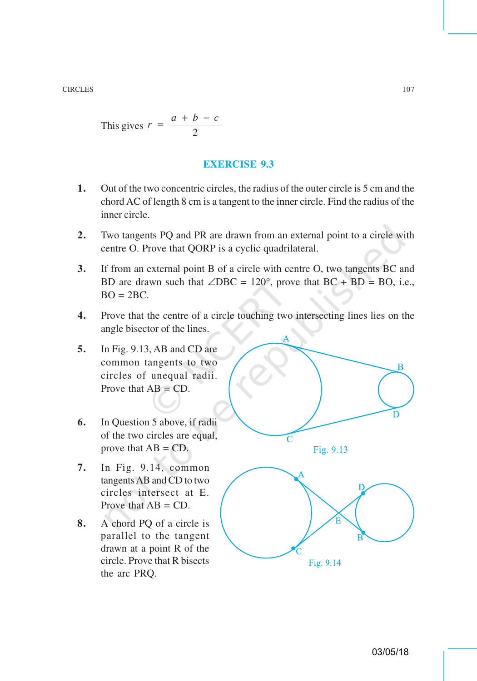This gives 
$$
r = \frac{a+b-c}{2}
$$

### **EXERCISE 9.3**

- **1.** Out of the two concentric circles, the radius of the outer circle is 5 cm and the chord AC of length 8 cm is a tangent to the inner circle. Find the radius of the inner circle.
- **2.** Two tangents PQ and PR are drawn from an external point to a circle with centre O. Prove that QORP is a cyclic quadrilateral.
- **3.** If from an external point B of a circle with centre O, two tangents BC and BD are drawn such that  $\angle$ DBC = 120°, prove that BC + BD = BO, i.e.,  $BO = 2BC$ .
- **4.** Prove that the centre of a circle touching two intersecting lines lies on the angle bisector of the lines.
- **5.** In Fig. 9.13, AB and CD are common tangents to two circles of unequal radii. Prove that  $AB = CD$ .
- **6.** In Question 5 above, if radii of the two circles are equal, prove that  $AB = CD$ .
- **7.** In Fig. 9.14, common tangents AB and CD to two circles intersect at E. Prove that  $AB = CD$ .
- **8.** A chord PQ of a circle is parallel to the tangent drawn at a point R of the circle. Prove that R bisects the arc PRQ.

B  $\subset$ Fig. 9.13



Fig. 9.14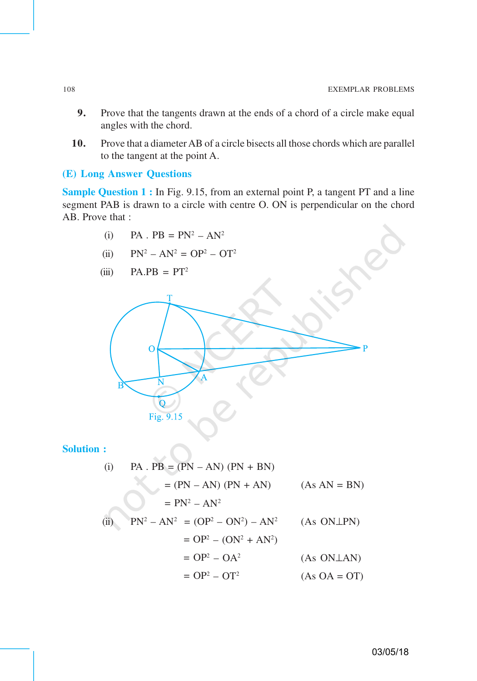- **9.** Prove that the tangents drawn at the ends of a chord of a circle make equal angles with the chord.
- **10.** Prove that a diameter AB of a circle bisects all those chords which are parallel to the tangent at the point A.

### **(E) Long Answer Questions**

**Sample Question 1 :** In Fig. 9.15, from an external point P, a tangent PT and a line segment PAB is drawn to a circle with centre O. ON is perpendicular on the chord AB. Prove that :

(i) 
$$
PA \cdot PB = PN^2 - AN^2
$$

(ii)  $PN^2 - AN^2 = OP^2 - OT^2$ 

$$
(iii) \qquad PA.PB = PT^2
$$



**Solution :**

(i) PA . PB = (PN – AN) (PN + BN)  
\n= (PN – AN) (PN + AN) (As AN = BN)  
\n= 
$$
PN^2 - AN^2
$$
  
\n(ii)  $PN^2 - AN^2 = (OP^2 - ON^2) - AN^2$  (As ONLPN)  
\n=  $OP^2 - (ON^2 + AN^2)$   
\n=  $OP^2 - OA^2$  (As ONLAN)  
\n=  $OP^2 - OT^2$  (As OA = OT)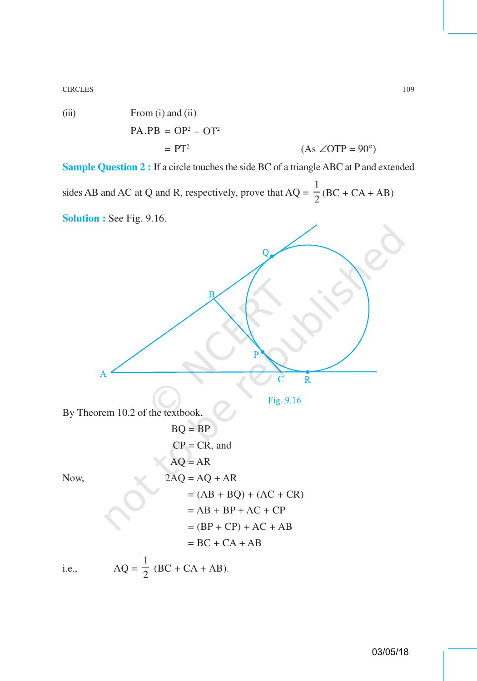CIRCLES 109

(iii) From (i) and (ii)  
\n
$$
PA.PB = OP2 - OT2
$$
\n
$$
= PT2 \t\t (As \angle OTP = 90o)
$$

**Sample Question 2 :** If a circle touches the side BC of a triangle ABC at P and extended sides AB and AC at Q and R, respectively, prove that  $AQ =$ 1  $\frac{1}{2}$ (BC + CA + AB)

**Solution :** See Fig. 9.16.

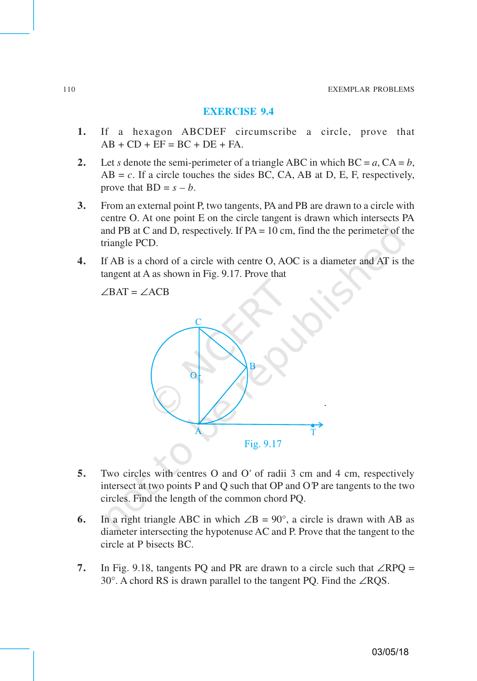#### **EXERCISE 9.4**

- **1.** If a hexagon ABCDEF circumscribe a circle, prove that  $AB + CD + EF = BC + DE + FA$ .
- 2. Let *s* denote the semi-perimeter of a triangle ABC in which  $BC = a$ ,  $CA = b$ ,  $AB = c$ . If a circle touches the sides BC, CA, AB at D, E, F, respectively, prove that  $BD = s - b$ .
- **3.** From an external point P, two tangents, PA and PB are drawn to a circle with centre O. At one point E on the circle tangent is drawn which intersects PA and PB at C and D, respectively. If  $PA = 10$  cm, find the the perimeter of the triangle PCD.
- **4.** If AB is a chord of a circle with centre O, AOC is a diameter and AT is the tangent at A as shown in Fig. 9.17. Prove that

∠BAT = ∠ACB



- **5.** Two circles with centres O and O*'* of radii 3 cm and 4 cm, respectively intersect at two points P and Q such that OP and O*'*P are tangents to the two circles. Find the length of the common chord PQ.
- **6.** In a right triangle ABC in which  $\angle B = 90^\circ$ , a circle is drawn with AB as diameter intersecting the hypotenuse AC and P. Prove that the tangent to the circle at P bisects BC.
- **7.** In Fig. 9.18, tangents PQ and PR are drawn to a circle such that ∠RPQ = 30°. A chord RS is drawn parallel to the tangent PQ. Find the ∠RQS.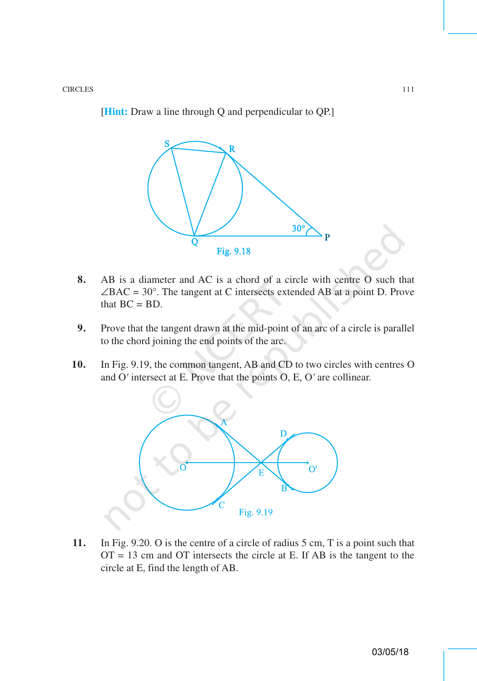[**Hint:** Draw a line through Q and perpendicular to QP.]



- **8.** AB is a diameter and AC is a chord of a circle with centre O such that  $\angle BAC = 30^\circ$ . The tangent at C intersects extended AB at a point D. Prove that  $BC = BD$ .
- **9.** Prove that the tangent drawn at the mid-point of an arc of a circle is parallel to the chord joining the end points of the arc.
- **10.** In Fig. 9.19, the common tangent, AB and CD to two circles with centres O and O*'* intersect at E. Prove that the points O, E, O*'* are collinear.



**11.** In Fig. 9.20. O is the centre of a circle of radius 5 cm, T is a point such that  $OT = 13$  cm and OT intersects the circle at E. If AB is the tangent to the circle at E, find the length of AB.